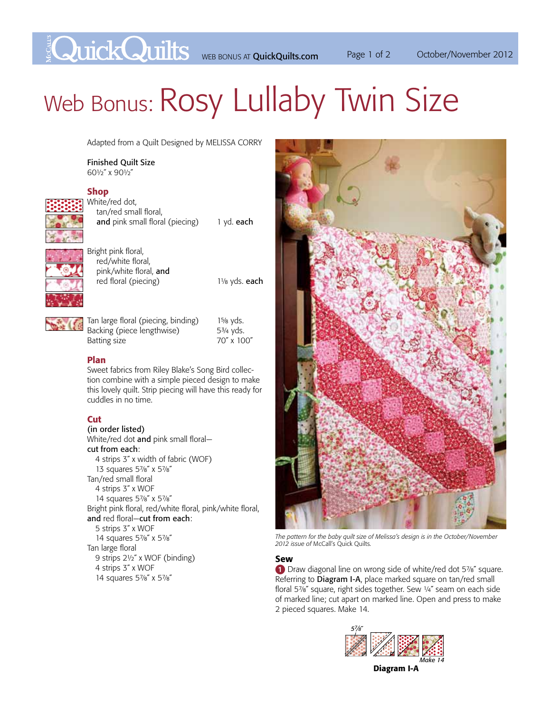**Example 2012** WEB BONUS AT QuickQuilts.com Page 1 of 2 October/November 2012

# Web Bonus: ROSY Lullaby Twin Size

Adapted from a Quilt Designed by MELISSA CORRY

Finished Quilt Size 601/2" x 901/2"

## Shop



White/red dot, tan/red small floral, and pink small floral (piecing) 1 yd. each



Bright pink floral, red/white floral, pink/white floral, and red floral (piecing) 11/8 yds. each



Tan large floral (piecing, binding) 15/8 yds. Backing (piece lengthwise) 53/4 yds.<br>Batting size 51/6 70" x 100" Batting size

### Plan

Sweet fabrics from Riley Blake's Song Bird collection combine with a simple pieced design to make this lovely quilt. Strip piecing will have this ready for cuddles in no time.

## Cut

(in order listed) White/red dot and pink small floralcut from each: 4 strips 3˝ x width of fabric (WOF) 13 squares 5%" x 5%" Tan/red small floral 4 strips 3˝ x WOF 14 squares 5%" x 5%" Bright pink floral, red/white floral, pink/white floral, and red floral—cut from each: 5 strips 3˝ x WOF 14 squares 5%" x 5%" Tan large floral 9 strips 21/2" x WOF (binding) 4 strips 3˝ x WOF 14 squares 5%" x 5%"



*The pattern for the baby quilt size of Melissa's design is in the October/November 2012 issue of* McCall's Quick Quilts*.*

#### Sew

1 Draw diagonal line on wrong side of white/red dot 5%" square. Referring to Diagram I-A, place marked square on tan/red small floral 5%" square, right sides together. Sew 1/4" seam on each side of marked line; cut apart on marked line. Open and press to make 2 pieced squares. Make 14.



Diagram I-A